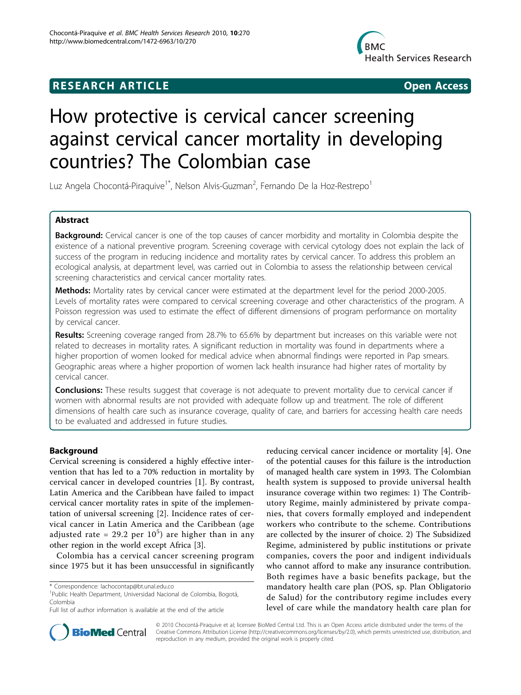## **RESEARCH ARTICLE CONSUMING A RESEARCH ARTICLE**



# How protective is cervical cancer screening against cervical cancer mortality in developing countries? The Colombian case

Luz Angela Chocontá-Piraquive<sup>1\*</sup>, Nelson Alvis-Guzman<sup>2</sup>, Fernando De la Hoz-Restrepo<sup>1</sup>

## Abstract

Background: Cervical cancer is one of the top causes of cancer morbidity and mortality in Colombia despite the existence of a national preventive program. Screening coverage with cervical cytology does not explain the lack of success of the program in reducing incidence and mortality rates by cervical cancer. To address this problem an ecological analysis, at department level, was carried out in Colombia to assess the relationship between cervical screening characteristics and cervical cancer mortality rates.

Methods: Mortality rates by cervical cancer were estimated at the department level for the period 2000-2005. Levels of mortality rates were compared to cervical screening coverage and other characteristics of the program. A Poisson regression was used to estimate the effect of different dimensions of program performance on mortality by cervical cancer.

Results: Screening coverage ranged from 28.7% to 65.6% by department but increases on this variable were not related to decreases in mortality rates. A significant reduction in mortality was found in departments where a higher proportion of women looked for medical advice when abnormal findings were reported in Pap smears. Geographic areas where a higher proportion of women lack health insurance had higher rates of mortality by cervical cancer.

**Conclusions:** These results suggest that coverage is not adequate to prevent mortality due to cervical cancer if women with abnormal results are not provided with adequate follow up and treatment. The role of different dimensions of health care such as insurance coverage, quality of care, and barriers for accessing health care needs to be evaluated and addressed in future studies.

## Background

Cervical screening is considered a highly effective intervention that has led to a 70% reduction in mortality by cervical cancer in developed countries [\[1](#page-4-0)]. By contrast, Latin America and the Caribbean have failed to impact cervical cancer mortality rates in spite of the implementation of universal screening [\[2](#page-4-0)]. Incidence rates of cervical cancer in Latin America and the Caribbean (age adjusted rate = 29.2 per  $10^5$ ) are higher than in any other region in the world except Africa [[3\]](#page-5-0).

Colombia has a cervical cancer screening program since 1975 but it has been unsuccessful in significantly

reducing cervical cancer incidence or mortality [\[4](#page-5-0)]. One of the potential causes for this failure is the introduction of managed health care system in 1993. The Colombian health system is supposed to provide universal health insurance coverage within two regimes: 1) The Contributory Regime, mainly administered by private companies, that covers formally employed and independent workers who contribute to the scheme. Contributions are collected by the insurer of choice. 2) The Subsidized Regime, administered by public institutions or private companies, covers the poor and indigent individuals who cannot afford to make any insurance contribution. Both regimes have a basic benefits package, but the mandatory health care plan (POS, sp. Plan Obligatorio de Salud) for the contributory regime includes every level of care while the mandatory health care plan for



© 2010 Chocontá-Piraquive et al; licensee BioMed Central Ltd. This is an Open Access article distributed under the terms of the Creative Commons Attribution License (<http://creativecommons.org/licenses/by/2.0>), which permits unrestricted use, distribution, and reproduction in any medium, provided the original work is properly cited.

<sup>\*</sup> Correspondence: [lachocontap@bt.unal.edu.co](mailto:lachocontap@bt.unal.edu.co)

<sup>&</sup>lt;sup>1</sup>Public Health Department, Universidad Nacional de Colombia, Bogotá, Colombia

Full list of author information is available at the end of the article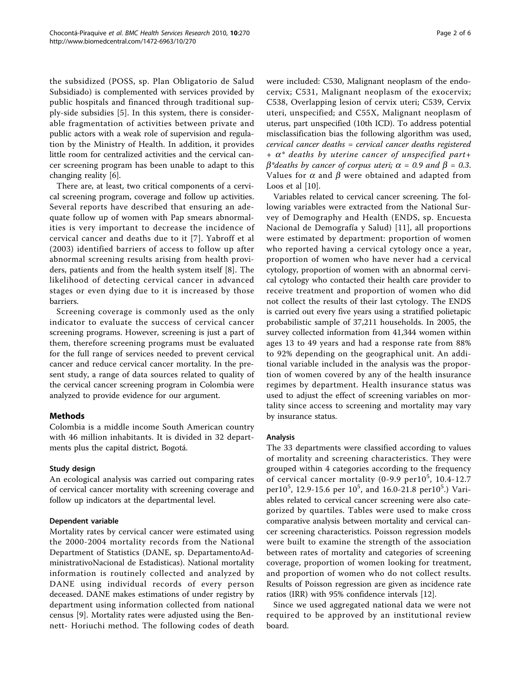the subsidized (POSS, sp. Plan Obligatorio de Salud Subsidiado) is complemented with services provided by public hospitals and financed through traditional supply-side subsidies [\[5](#page-5-0)]. In this system, there is considerable fragmentation of activities between private and public actors with a weak role of supervision and regulation by the Ministry of Health. In addition, it provides little room for centralized activities and the cervical cancer screening program has been unable to adapt to this changing reality [\[6\]](#page-5-0).

There are, at least, two critical components of a cervical screening program, coverage and follow up activities. Several reports have described that ensuring an adequate follow up of women with Pap smears abnormalities is very important to decrease the incidence of cervical cancer and deaths due to it [[7](#page-5-0)]. Yabroff et al (2003) identified barriers of access to follow up after abnormal screening results arising from health providers, patients and from the health system itself [\[8](#page-5-0)]. The likelihood of detecting cervical cancer in advanced stages or even dying due to it is increased by those barriers.

Screening coverage is commonly used as the only indicator to evaluate the success of cervical cancer screening programs. However, screening is just a part of them, therefore screening programs must be evaluated for the full range of services needed to prevent cervical cancer and reduce cervical cancer mortality. In the present study, a range of data sources related to quality of the cervical cancer screening program in Colombia were analyzed to provide evidence for our argument.

## Methods

Colombia is a middle income South American country with 46 million inhabitants. It is divided in 32 departments plus the capital district, Bogotá.

## Study design

An ecological analysis was carried out comparing rates of cervical cancer mortality with screening coverage and follow up indicators at the departmental level.

## Dependent variable

Mortality rates by cervical cancer were estimated using the 2000-2004 mortality records from the National Department of Statistics (DANE, sp. DepartamentoAdministrativoNacional de Estadisticas). National mortality information is routinely collected and analyzed by DANE using individual records of every person deceased. DANE makes estimations of under registry by department using information collected from national census [[9\]](#page-5-0). Mortality rates were adjusted using the Bennett- Horiuchi method. The following codes of death were included: C530, Malignant neoplasm of the endocervix; C531, Malignant neoplasm of the exocervix; C538, Overlapping lesion of cervix uteri; C539, Cervix uteri, unspecified; and C55X, Malignant neoplasm of uterus, part unspecified (10th ICD). To address potential misclassification bias the following algorithm was used, cervical cancer deaths = cervical cancer deaths registered  $+ \alpha^*$  deaths by uterine cancer of unspecified part $+$  $\beta^*$ deaths by cancer of corpus uteri;  $\alpha = 0.9$  and  $\beta = 0.3$ . Values for  $\alpha$  and  $\beta$  were obtained and adapted from Loos et al [\[10](#page-5-0)].

Variables related to cervical cancer screening. The following variables were extracted from the National Survey of Demography and Health (ENDS, sp. Encuesta Nacional de Demografía y Salud) [[11](#page-5-0)], all proportions were estimated by department: proportion of women who reported having a cervical cytology once a year, proportion of women who have never had a cervical cytology, proportion of women with an abnormal cervical cytology who contacted their health care provider to receive treatment and proportion of women who did not collect the results of their last cytology. The ENDS is carried out every five years using a stratified polietapic probabilistic sample of 37,211 households. In 2005, the survey collected information from 41,344 women within ages 13 to 49 years and had a response rate from 88% to 92% depending on the geographical unit. An additional variable included in the analysis was the proportion of women covered by any of the health insurance regimes by department. Health insurance status was used to adjust the effect of screening variables on mortality since access to screening and mortality may vary by insurance status.

## Analysis

The 33 departments were classified according to values of mortality and screening characteristics. They were grouped within 4 categories according to the frequency of cervical cancer mortality (0-9.9 per $10^5$ , 10.4-12.7 per10<sup>5</sup>, 12.9-15.6 per 10<sup>5</sup>, and 16.0-21.8 per10<sup>5</sup>.) Variables related to cervical cancer screening were also categorized by quartiles. Tables were used to make cross comparative analysis between mortality and cervical cancer screening characteristics. Poisson regression models were built to examine the strength of the association between rates of mortality and categories of screening coverage, proportion of women looking for treatment, and proportion of women who do not collect results. Results of Poisson regression are given as incidence rate ratios (IRR) with 95% confidence intervals [\[12\]](#page-5-0).

Since we used aggregated national data we were not required to be approved by an institutional review board.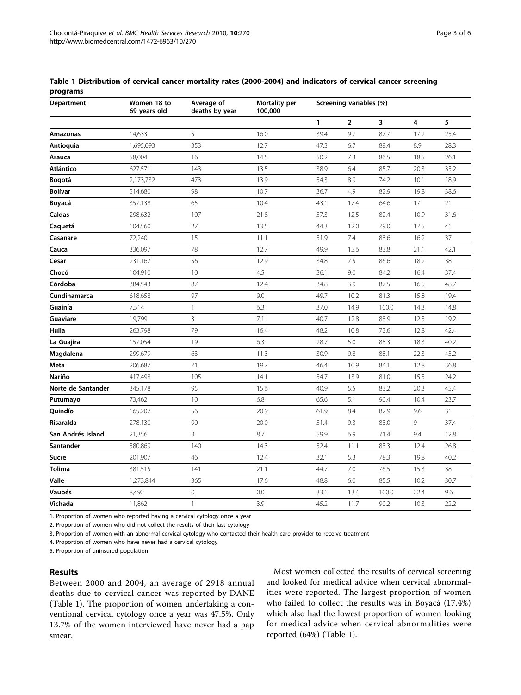| Table 1 Distribution of cervical cancer mortality rates (2000-2004) and indicators of cervical cancer screening |  |  |
|-----------------------------------------------------------------------------------------------------------------|--|--|
| programs                                                                                                        |  |  |

| Department         | Women 18 to<br>69 years old | Average of<br>deaths by year | Mortality per<br>100,000 | Screening variables (%) |                |       |      |      |
|--------------------|-----------------------------|------------------------------|--------------------------|-------------------------|----------------|-------|------|------|
|                    |                             |                              |                          | 1                       | $\overline{2}$ | 3     | 4    | 5    |
| Amazonas           | 14,633                      | 5                            | 16.0                     | 39.4                    | 9.7            | 87.7  | 17.2 | 25.4 |
| Antioquia          | 1,695,093                   | 353                          | 12.7                     | 47.3                    | 6.7            | 88.4  | 8.9  | 28.3 |
| Arauca             | 58,004                      | 16                           | 14.5                     | 50.2                    | 7.3            | 86.5  | 18.5 | 26.1 |
| Atlántico          | 627,571                     | 143                          | 13.5                     | 38.9                    | 6.4            | 85,7  | 20.3 | 35.2 |
| Bogotá             | 2,173,732                   | 473                          | 13.9                     | 54.3                    | 8.9            | 74.2  | 10.1 | 18.9 |
| <b>Bolívar</b>     | 514,680                     | 98                           | 10.7                     | 36.7                    | 4.9            | 82.9  | 19.8 | 38.6 |
| Boyacá             | 357,138                     | 65                           | 10.4                     | 43.1                    | 17.4           | 64.6  | 17   | 21   |
| Caldas             | 298,632                     | 107                          | 21.8                     | 57.3                    | 12.5           | 82.4  | 10.9 | 31.6 |
| Caquetá            | 104,560                     | 27                           | 13.5                     | 44.3                    | 12.0           | 79.0  | 17.5 | 41   |
| Casanare           | 72,240                      | 15                           | 11.1                     | 51.9                    | 7.4            | 88.6  | 16.2 | 37   |
| Cauca              | 336,097                     | 78                           | 12.7                     | 49.9                    | 15.6           | 83.8  | 21.1 | 42.1 |
| Cesar              | 231,167                     | 56                           | 12.9                     | 34.8                    | 7.5            | 86.6  | 18.2 | 38   |
| Chocó              | 104,910                     | 10                           | 4.5                      | 36.1                    | 9.0            | 84.2  | 16.4 | 37.4 |
| Córdoba            | 384,543                     | 87                           | 12.4                     | 34.8                    | 3.9            | 87.5  | 16.5 | 48.7 |
| Cundinamarca       | 618,658                     | 97                           | 9.0                      | 49.7                    | 10.2           | 81.3  | 15.8 | 19.4 |
| Guainía            | 7,514                       | 1                            | 6.3                      | 37.0                    | 14.9           | 100.0 | 14.3 | 14.8 |
| Guaviare           | 19,799                      | 3                            | 7.1                      | 40.7                    | 12.8           | 88.9  | 12.5 | 19.2 |
| Huila              | 263,798                     | 79                           | 16.4                     | 48.2                    | 10.8           | 73.6  | 12.8 | 42.4 |
| La Guajira         | 157,054                     | 19                           | 6.3                      | 28.7                    | 5.0            | 88.3  | 18.3 | 40.2 |
| Magdalena          | 299,679                     | 63                           | 11.3                     | 30.9                    | 9.8            | 88.1  | 22.3 | 45.2 |
| Meta               | 206,687                     | 71                           | 19.7                     | 46.4                    | 10.9           | 84.1  | 12.8 | 36.8 |
| <b>Nariño</b>      | 417,498                     | 105                          | 14.1                     | 54.7                    | 13.9           | 81.0  | 15.5 | 24.2 |
| Norte de Santander | 345,178                     | 95                           | 15.6                     | 40.9                    | 5.5            | 83.2  | 20.3 | 45.4 |
| Putumayo           | 73,462                      | 10                           | 6.8                      | 65.6                    | 5.1            | 90.4  | 10.4 | 23.7 |
| Quindío            | 165,207                     | 56                           | 20.9                     | 61.9                    | 8.4            | 82.9  | 9.6  | 31   |
| Risaralda          | 278,130                     | 90                           | 20.0                     | 51.4                    | 9.3            | 83.0  | 9    | 37.4 |
| San Andrés Island  | 21,356                      | 3                            | 8.7                      | 59.9                    | 6.9            | 71.4  | 9.4  | 12.8 |
| Santander          | 580,869                     | 140                          | 14.3                     | 52.4                    | 11.1           | 83.3  | 12.4 | 26.8 |
| Sucre              | 201,907                     | 46                           | 12.4                     | 32.1                    | 5.3            | 78.3  | 19.8 | 40.2 |
| <b>Tolima</b>      | 381,515                     | 141                          | 21.1                     | 44.7                    | 7.0            | 76.5  | 15.3 | 38   |
| Valle              | 1,273,844                   | 365                          | 17.6                     | 48.8                    | 6.0            | 85.5  | 10.2 | 30.7 |
| Vaupés             | 8,492                       | $\mathbf 0$                  | 0.0                      | 33.1                    | 13.4           | 100.0 | 22.4 | 9.6  |
| Vichada            | 11,862                      | $\mathbf{1}$                 | 3.9                      | 45.2                    | 11.7           | 90.2  | 10.3 | 22.2 |

1. Proportion of women who reported having a cervical cytology once a year

2. Proportion of women who did not collect the results of their last cytology

3. Proportion of women with an abnormal cervical cytology who contacted their health care provider to receive treatment

4. Proportion of women who have never had a cervical cytology

5. Proportion of uninsured population

## Results

Between 2000 and 2004, an average of 2918 annual deaths due to cervical cancer was reported by DANE (Table 1). The proportion of women undertaking a conventional cervical cytology once a year was 47.5%. Only 13.7% of the women interviewed have never had a pap smear.

Most women collected the results of cervical screening and looked for medical advice when cervical abnormalities were reported. The largest proportion of women who failed to collect the results was in Boyacá (17.4%) which also had the lowest proportion of women looking for medical advice when cervical abnormalities were reported (64%) (Table 1).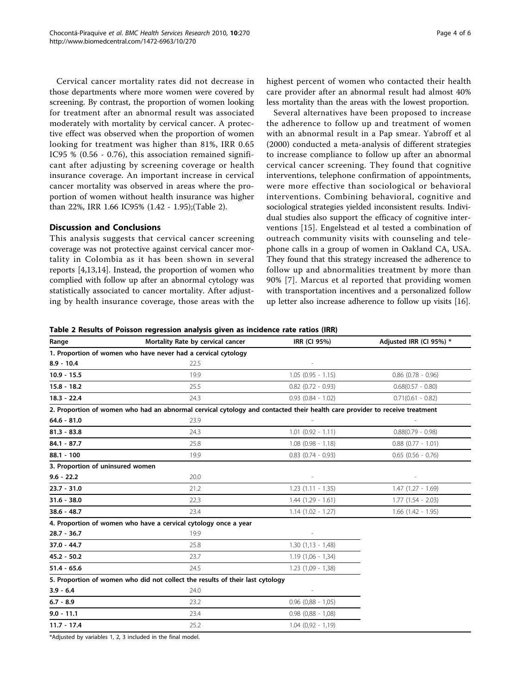Cervical cancer mortality rates did not decrease in those departments where more women were covered by screening. By contrast, the proportion of women looking for treatment after an abnormal result was associated moderately with mortality by cervical cancer. A protective effect was observed when the proportion of women looking for treatment was higher than 81%, IRR 0.65 IC95 % (0.56 - 0.76), this association remained significant after adjusting by screening coverage or health insurance coverage. An important increase in cervical cancer mortality was observed in areas where the proportion of women without health insurance was higher than 22%, IRR 1.66 IC95% (1.42 - 1.95);(Table 2).

## Discussion and Conclusions

This analysis suggests that cervical cancer screening coverage was not protective against cervical cancer mortality in Colombia as it has been shown in several reports [\[4,13,14](#page-5-0)]. Instead, the proportion of women who complied with follow up after an abnormal cytology was statistically associated to cancer mortality. After adjusting by health insurance coverage, those areas with the highest percent of women who contacted their health care provider after an abnormal result had almost 40% less mortality than the areas with the lowest proportion.

Several alternatives have been proposed to increase the adherence to follow up and treatment of women with an abnormal result in a Pap smear. Yabroff et al (2000) conducted a meta-analysis of different strategies to increase compliance to follow up after an abnormal cervical cancer screening. They found that cognitive interventions, telephone confirmation of appointments, were more effective than sociological or behavioral interventions. Combining behavioral, cognitive and sociological strategies yielded inconsistent results. Individual studies also support the efficacy of cognitive interventions [[15](#page-5-0)]. Engelstead et al tested a combination of outreach community visits with counseling and telephone calls in a group of women in Oakland CA, USA. They found that this strategy increased the adherence to follow up and abnormalities treatment by more than 90% [[7](#page-5-0)]. Marcus et al reported that providing women with transportation incentives and a personalized follow up letter also increase adherence to follow up visits [[16\]](#page-5-0).

Table 2 Results of Poisson regression analysis given as incidence rate ratios (IRR)

| Range                            | Mortality Rate by cervical cancer                                                                                          | IRR (CI 95%)           | Adjusted IRR (CI 95%) * |
|----------------------------------|----------------------------------------------------------------------------------------------------------------------------|------------------------|-------------------------|
|                                  | 1. Proportion of women who have never had a cervical cytology                                                              |                        |                         |
| $8.9 - 10.4$                     | 22.5                                                                                                                       |                        |                         |
| $10.9 - 15.5$                    | 19.9                                                                                                                       | $1.05(0.95 - 1.15)$    | $0.86$ $(0.78 - 0.96)$  |
| $15.8 - 18.2$                    | 25.5                                                                                                                       | $0.82$ (0.72 - 0.93)   | $0.68(0.57 - 0.80)$     |
| $18.3 - 22.4$                    | 24.3                                                                                                                       | $0.93$ $(0.84 - 1.02)$ | $0.71(0.61 - 0.82)$     |
|                                  | 2. Proportion of women who had an abnormal cervical cytology and contacted their health care provider to receive treatment |                        |                         |
| $64.6 - 81.0$                    | 23.9                                                                                                                       |                        |                         |
| $81.3 - 83.8$                    | 24.3                                                                                                                       | $1.01$ $(0.92 - 1.11)$ | $0.88(0.79 - 0.98)$     |
| $84.1 - 87.7$                    | 25.8                                                                                                                       | $1.08$ $(0.98 - 1.18)$ | $0.88$ $(0.77 - 1.01)$  |
| $88.1 - 100$                     | 19.9                                                                                                                       | $0.83$ $(0.74 - 0.93)$ | $0.65$ $(0.56 - 0.76)$  |
| 3. Proportion of uninsured women |                                                                                                                            |                        |                         |
| $9.6 - 22.2$                     | 20.0                                                                                                                       |                        |                         |
| $23.7 - 31.0$                    | 21.2                                                                                                                       | $1.23(1.11 - 1.35)$    | $1.47$ $(1.27 - 1.69)$  |
| $31.6 - 38.0$                    | 22.3                                                                                                                       | $1.44$ $(1.29 - 1.61)$ | $1.77$ $(1.54 - 2.03)$  |
| $38.6 - 48.7$                    | 23.4                                                                                                                       | $1.14(1.02 - 1.27)$    | $1.66$ $(1.42 - 1.95)$  |
|                                  | 4. Proportion of women who have a cervical cytology once a year                                                            |                        |                         |
| 28.7 - 36.7                      | 19.9                                                                                                                       |                        |                         |
| 37.0 - 44.7                      | 25.8                                                                                                                       | $1.30(1.13 - 1.48)$    |                         |
| $45.2 - 50.2$                    | 23.7                                                                                                                       | $1.19(1,06 - 1,34)$    |                         |
| $51.4 - 65.6$                    | 24.5                                                                                                                       | $1.23(1,09 - 1,38)$    |                         |
|                                  | 5. Proportion of women who did not collect the results of their last cytology                                              |                        |                         |
| $3.9 - 6.4$                      | 24.0                                                                                                                       | $\sim$                 |                         |
| $6.7 - 8.9$                      | 23.2                                                                                                                       | $0.96$ $(0.88 - 1.05)$ |                         |
| $9.0 - 11.1$                     | 23.4                                                                                                                       | $0.98$ $(0.88 - 1.08)$ |                         |
| $11.7 - 17.4$                    | 25.2                                                                                                                       | $1.04$ $(0.92 - 1.19)$ |                         |

\*Adjusted by variables 1, 2, 3 included in the final model.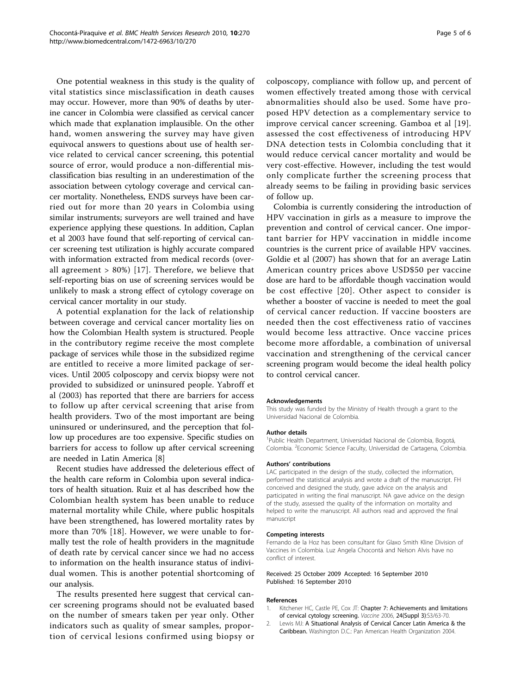<span id="page-4-0"></span>One potential weakness in this study is the quality of vital statistics since misclassification in death causes may occur. However, more than 90% of deaths by uterine cancer in Colombia were classified as cervical cancer which made that explanation implausible. On the other hand, women answering the survey may have given equivocal answers to questions about use of health service related to cervical cancer screening, this potential source of error, would produce a non-differential misclassification bias resulting in an underestimation of the association between cytology coverage and cervical cancer mortality. Nonetheless, ENDS surveys have been carried out for more than 20 years in Colombia using similar instruments; surveyors are well trained and have experience applying these questions. In addition, Caplan et al 2003 have found that self-reporting of cervical cancer screening test utilization is highly accurate compared with information extracted from medical records (overall agreement > 80%) [\[17\]](#page-5-0). Therefore, we believe that self-reporting bias on use of screening services would be unlikely to mask a strong effect of cytology coverage on cervical cancer mortality in our study.

A potential explanation for the lack of relationship between coverage and cervical cancer mortality lies on how the Colombian Health system is structured. People in the contributory regime receive the most complete package of services while those in the subsidized regime are entitled to receive a more limited package of services. Until 2005 colposcopy and cervix biopsy were not provided to subsidized or uninsured people. Yabroff et al (2003) has reported that there are barriers for access to follow up after cervical screening that arise from health providers. Two of the most important are being uninsured or underinsured, and the perception that follow up procedures are too expensive. Specific studies on barriers for access to follow up after cervical screening are needed in Latin America [[8\]](#page-5-0)

Recent studies have addressed the deleterious effect of the health care reform in Colombia upon several indicators of health situation. Ruiz et al has described how the Colombian health system has been unable to reduce maternal mortality while Chile, where public hospitals have been strengthened, has lowered mortality rates by more than 70% [[18](#page-5-0)]. However, we were unable to formally test the role of health providers in the magnitude of death rate by cervical cancer since we had no access to information on the health insurance status of individual women. This is another potential shortcoming of our analysis.

The results presented here suggest that cervical cancer screening programs should not be evaluated based on the number of smears taken per year only. Other indicators such as quality of smear samples, proportion of cervical lesions confirmed using biopsy or colposcopy, compliance with follow up, and percent of women effectively treated among those with cervical abnormalities should also be used. Some have proposed HPV detection as a complementary service to improve cervical cancer screening. Gamboa et al [[19](#page-5-0)]. assessed the cost effectiveness of introducing HPV DNA detection tests in Colombia concluding that it would reduce cervical cancer mortality and would be very cost-effective. However, including the test would only complicate further the screening process that already seems to be failing in providing basic services of follow up.

Colombia is currently considering the introduction of HPV vaccination in girls as a measure to improve the prevention and control of cervical cancer. One important barrier for HPV vaccination in middle income countries is the current price of available HPV vaccines. Goldie et al (2007) has shown that for an average Latin American country prices above USD\$50 per vaccine dose are hard to be affordable though vaccination would be cost effective [[20\]](#page-5-0). Other aspect to consider is whether a booster of vaccine is needed to meet the goal of cervical cancer reduction. If vaccine boosters are needed then the cost effectiveness ratio of vaccines would become less attractive. Once vaccine prices become more affordable, a combination of universal vaccination and strengthening of the cervical cancer screening program would become the ideal health policy to control cervical cancer.

#### Acknowledgements

This study was funded by the Ministry of Health through a grant to the Universidad Nacional de Colombia.

#### Author details

<sup>1</sup>Public Health Department, Universidad Nacional de Colombia, Bogotá, Colombia. <sup>2</sup> Economic Science Faculty, Universidad de Cartagena, Colombia.

#### Authors' contributions

LAC participated in the design of the study, collected the information, performed the statistical analysis and wrote a draft of the manuscript. FH conceived and designed the study, gave advice on the analysis and participated in writing the final manuscript. NA gave advice on the design of the study, assessed the quality of the information on mortality and helped to write the manuscript. All authors read and approved the final manuscript

#### Competing interests

Fernando de la Hoz has been consultant for Glaxo Smith Kline Division of Vaccines in Colombia. Luz Angela Chocontá and Nelson Alvis have no conflict of interest.

#### Received: 25 October 2009 Accepted: 16 September 2010 Published: 16 September 2010

#### References

- 1. Kitchener HC, Castle PE, Cox JT: Chapter 7: Achievements and limitations of cervical cytology screening. Vaccine 2006, 24(Suppl 3):S3/63-70.
- 2. Lewis MJ: A Situational Analysis of Cervical Cancer Latin America & the Caribbean. Washington D.C.: Pan American Health Organization 2004.